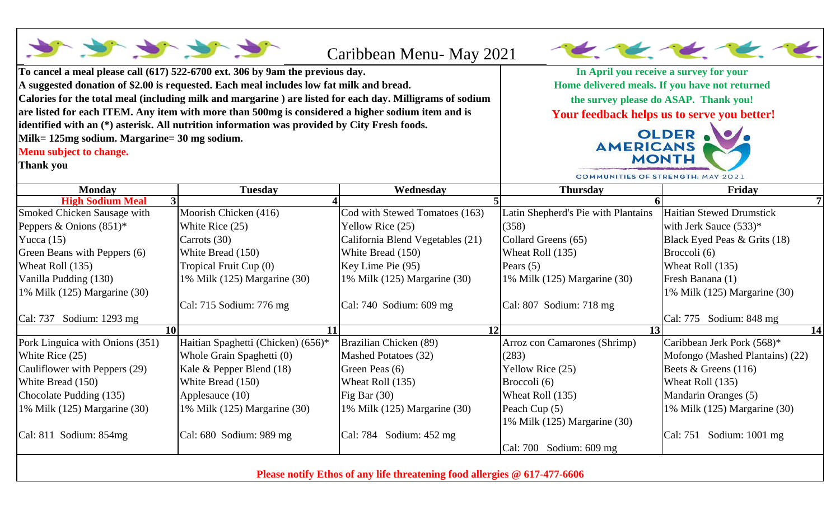|                                              |                                                                                                          | Caribbean Menu- May 2021                                                                                                                                                         |                                     |                                 |
|----------------------------------------------|----------------------------------------------------------------------------------------------------------|----------------------------------------------------------------------------------------------------------------------------------------------------------------------------------|-------------------------------------|---------------------------------|
|                                              | To cancel a meal please call (617) 522-6700 ext. 306 by 9am the previous day.                            | In April you receive a survey for your<br>Home delivered meals. If you have not returned<br>the survey please do ASAP. Thank you!<br>Your feedback helps us to serve you better! |                                     |                                 |
|                                              | A suggested donation of \$2.00 is requested. Each meal includes low fat milk and bread.                  |                                                                                                                                                                                  |                                     |                                 |
|                                              | Calories for the total meal (including milk and margarine) are listed for each day. Milligrams of sodium |                                                                                                                                                                                  |                                     |                                 |
|                                              | are listed for each ITEM. Any item with more than 500mg is considered a higher sodium item and is        |                                                                                                                                                                                  |                                     |                                 |
|                                              | identified with an (*) asterisk. All nutrition information was provided by City Fresh foods.             | OLDER .<br><b>AMERICANS</b>                                                                                                                                                      |                                     |                                 |
| Milk= 125mg sodium. Margarine= 30 mg sodium. |                                                                                                          |                                                                                                                                                                                  |                                     |                                 |
| Menu subject to change.                      |                                                                                                          | <b>MONTH</b>                                                                                                                                                                     |                                     |                                 |
| <b>Thank you</b>                             |                                                                                                          | <b>COMMUNITIES OF STRENGTH: MAY 2021</b>                                                                                                                                         |                                     |                                 |
| <b>Monday</b>                                | <b>Tuesday</b>                                                                                           | Wednesday                                                                                                                                                                        | <b>Thursday</b>                     | Friday                          |
| <b>High Sodium Meal</b>                      |                                                                                                          |                                                                                                                                                                                  |                                     |                                 |
| Smoked Chicken Sausage with                  | Moorish Chicken (416)                                                                                    | Cod with Stewed Tomatoes (163)                                                                                                                                                   | Latin Shepherd's Pie with Plantains | <b>Haitian Stewed Drumstick</b> |
| Peppers & Onions $(851)^*$                   | White Rice (25)                                                                                          | Yellow Rice (25)                                                                                                                                                                 | (358)                               | with Jerk Sauce $(533)^*$       |
| Yucca $(15)$                                 | Carrots (30)                                                                                             | California Blend Vegetables (21)                                                                                                                                                 | Collard Greens (65)                 | Black Eyed Peas & Grits (18)    |
| Green Beans with Peppers (6)                 | White Bread (150)                                                                                        | White Bread (150)                                                                                                                                                                | Wheat Roll (135)                    | Broccoli (6)                    |
| Wheat Roll (135)                             | Tropical Fruit Cup (0)                                                                                   | Key Lime Pie (95)                                                                                                                                                                | Pears $(5)$                         | Wheat Roll (135)                |
| Vanilla Pudding (130)                        | 1% Milk (125) Margarine (30)                                                                             | 1% Milk (125) Margarine (30)                                                                                                                                                     | 1% Milk (125) Margarine (30)        | Fresh Banana (1)                |
| 1% Milk (125) Margarine (30)                 |                                                                                                          |                                                                                                                                                                                  |                                     | 1% Milk (125) Margarine (30)    |
|                                              | Cal: 715 Sodium: 776 mg                                                                                  | Cal: 740 Sodium: 609 mg                                                                                                                                                          | Cal: 807 Sodium: 718 mg             |                                 |
| Cal: 737 Sodium: 1293 mg                     |                                                                                                          |                                                                                                                                                                                  |                                     | Cal: 775 Sodium: 848 mg         |
| <b>10</b>                                    | 11                                                                                                       | 12                                                                                                                                                                               | $\overline{13}$                     | 14                              |
| Pork Linguica with Onions (351)              | Haitian Spaghetti (Chicken) (656)*                                                                       | Brazilian Chicken (89)                                                                                                                                                           | Arroz con Camarones (Shrimp)        | Caribbean Jerk Pork (568)*      |
| White Rice (25)                              | Whole Grain Spaghetti (0)                                                                                | Mashed Potatoes (32)                                                                                                                                                             | (283)                               | Mofongo (Mashed Plantains) (22) |
| Cauliflower with Peppers (29)                | Kale & Pepper Blend (18)                                                                                 | Green Peas (6)                                                                                                                                                                   | Yellow Rice (25)                    | Beets & Greens $(116)$          |
| White Bread (150)                            | White Bread (150)                                                                                        | Wheat Roll (135)                                                                                                                                                                 | Broccoli (6)                        | Wheat Roll (135)                |
| Chocolate Pudding (135)                      | Applesauce (10)                                                                                          | Fig Bar $(30)$                                                                                                                                                                   | Wheat Roll (135)                    | Mandarin Oranges (5)            |
| 1% Milk (125) Margarine (30)                 | 1% Milk (125) Margarine (30)                                                                             | 1% Milk (125) Margarine (30)                                                                                                                                                     | Peach Cup (5)                       | 1% Milk (125) Margarine (30)    |
|                                              |                                                                                                          |                                                                                                                                                                                  | 1% Milk (125) Margarine (30)        |                                 |
| Cal: 811 Sodium: 854mg                       | Cal: $680$ Sodium: $989$ mg                                                                              | Cal: 784 Sodium: $452 \text{ mg}$                                                                                                                                                |                                     | Cal: 751 Sodium: 1001 mg        |
|                                              |                                                                                                          |                                                                                                                                                                                  | Cal: 700 Sodium: 609 mg             |                                 |

**Please notify Ethos of any life threatening food allergies @ 617-477-6606**